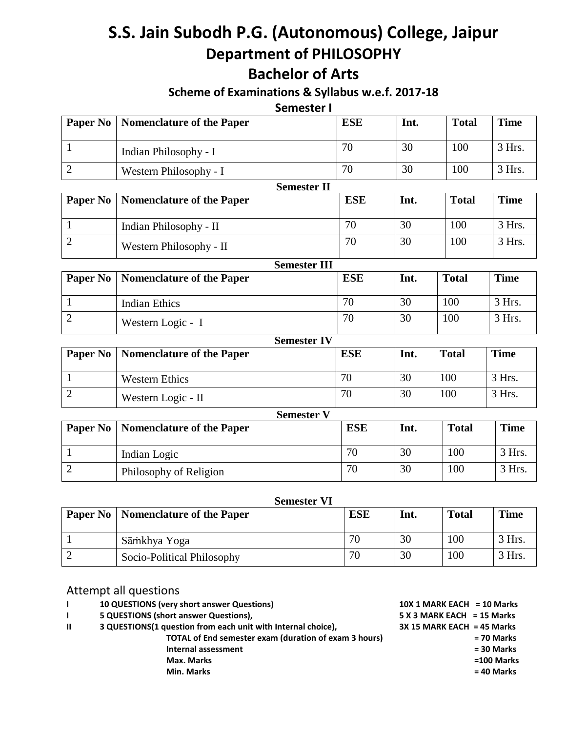# **S.S. Jain Subodh P.G. (Autonomous) College, Jaipur Department of PHILOSOPHY**

# **Bachelor of Arts**

### **Scheme of Examinations & Syllabus w.e.f. 2017-18**

**Semester I**

| Paper No       | <b>Nomenclature of the Paper</b> | <b>ESE</b> | Int. | <b>Total</b> | <b>Time</b> |
|----------------|----------------------------------|------------|------|--------------|-------------|
| $\mathbf{1}$   | Indian Philosophy - I            | 70         | 30   | 100          | 3 Hrs.      |
| $\overline{2}$ | Western Philosophy - I           | 70         | 30   | 100          | 3 Hrs.      |
|                | <b>Semester II</b>               |            |      |              |             |
| Paper No       | <b>Nomenclature of the Paper</b> | <b>ESE</b> | Int. | <b>Total</b> | <b>Time</b> |
| $\mathbf{1}$   | Indian Philosophy - II           | 70         | 30   | 100          | 3 Hrs.      |
| $\overline{2}$ | Western Philosophy - II          | 70         | 30   | 100          | 3 Hrs.      |
|                | <b>Semester III</b>              |            |      |              |             |
| Paper No       | <b>Nomenclature of the Paper</b> | <b>ESE</b> | Int. | <b>Total</b> | <b>Time</b> |
| $\mathbf{1}$   | <b>Indian Ethics</b>             | 70         | 30   | 100          | 3 Hrs.      |
| $\overline{2}$ | Western Logic - I                | 70         | 30   | 100          | 3 Hrs.      |
|                | <b>Semester IV</b>               |            |      |              |             |
| Paper No       | Nomenclature of the Paper        | <b>ESE</b> | Int. | <b>Total</b> | <b>Time</b> |
| $\mathbf{1}$   | <b>Western Ethics</b>            | 70         | 30   | 100          | 3 Hrs.      |
| $\overline{2}$ | Western Logic - II               | 70         | 30   | 100          | 3 Hrs.      |
|                | <b>Semester V</b>                |            |      |              |             |
| Paper No       | <b>Nomenclature of the Paper</b> | <b>ESE</b> | Int. | <b>Total</b> | <b>Time</b> |
| 1              | Indian Logic                     | 70         | 30   | 100          | 3 Hrs.      |
| $\overline{2}$ | Philosophy of Religion           | 70         | 30   | 100          | 3 Hrs.      |

| <b>Semester VI</b> |                                             |            |      |              |             |
|--------------------|---------------------------------------------|------------|------|--------------|-------------|
|                    | <b>Paper No   Nomenclature of the Paper</b> | <b>ESE</b> | Int. | <b>Total</b> | <b>Time</b> |
|                    | Sāmkhya Yoga                                | 70         | 30   | 100          | $3$ Hrs.    |
|                    | Socio-Political Philosophy                  | 70         | 30   | 100          | $3$ Hrs.    |

## Attempt all questions

| 10 QUESTIONS (very short answer Questions) | $10X$ 1 MARK EACH = 10 Marks |
|--------------------------------------------|------------------------------|
|                                            |                              |

**I 5 QUESTIONS** (short answer Questions),

- **II 3 QUESTIONS(1 question from each unit with Internal choice),** 
	- **TOTAL of End semester exam (duration of exam 3 hours) Internal assessment Max. Marks =100 Marks Min. Marks**

| 10X 1 MARK EACH = 10 Marks   |              |
|------------------------------|--------------|
| $5 X 3$ MARK EACH = 15 Marks |              |
| $3X$ 15 MARK EACH = 45 Marks |              |
|                              | = 70 Marks   |
|                              | $= 30$ Marks |
|                              | $=100$ Marks |
|                              | = 40 Marks   |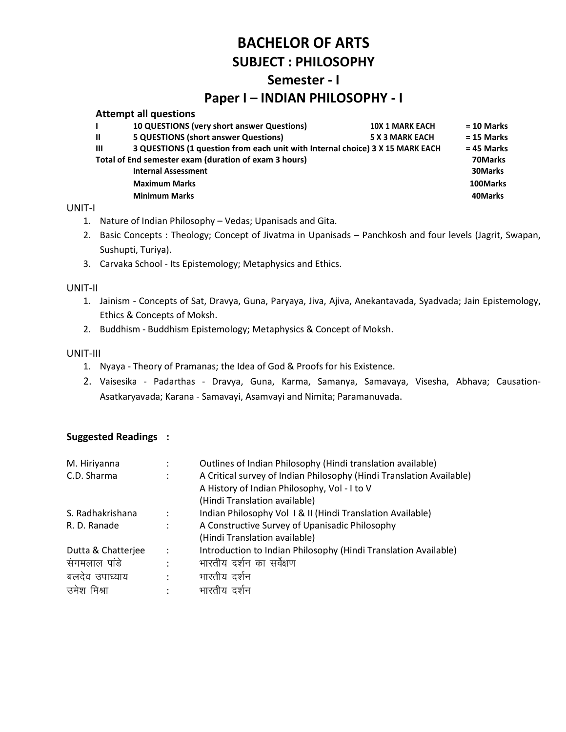# **Semester - I**

## **Paper I – INDIAN PHILOSOPHY - I**

#### **Attempt all questions**

|              | 10 QUESTIONS (very short answer Questions)                                    | <b>10X 1 MARK EACH</b> | $= 10$ Marks |
|--------------|-------------------------------------------------------------------------------|------------------------|--------------|
| $\mathbf{u}$ | <b>5 QUESTIONS (short answer Questions)</b>                                   | <b>5 X 3 MARK EACH</b> | $= 15$ Marks |
| $\mathbf{m}$ | 3 QUESTIONS (1 question from each unit with Internal choice) 3 X 15 MARK EACH |                        | $= 45$ Marks |
|              | Total of End semester exam (duration of exam 3 hours)                         |                        | 70Marks      |
|              | <b>Internal Assessment</b>                                                    |                        | 30Marks      |
|              | <b>Maximum Marks</b>                                                          |                        | 100Marks     |
|              | <b>Minimum Marks</b>                                                          |                        | 40Marks      |
|              |                                                                               |                        |              |

#### UNIT-I

- 1. Nature of Indian Philosophy Vedas; Upanisads and Gita.
- 2. Basic Concepts : Theology; Concept of Jivatma in Upanisads Panchkosh and four levels (Jagrit, Swapan, Sushupti, Turiya).
- 3. Carvaka School Its Epistemology; Metaphysics and Ethics.

#### UNIT-II

- 1. Jainism Concepts of Sat, Dravya, Guna, Paryaya, Jiva, Ajiva, Anekantavada, Syadvada; Jain Epistemology, Ethics & Concepts of Moksh.
- 2. Buddhism Buddhism Epistemology; Metaphysics & Concept of Moksh.

#### UNIT-III

- 1. Nyaya Theory of Pramanas; the Idea of God & Proofs for his Existence.
- 2. Vaisesika Padarthas Dravya, Guna, Karma, Samanya, Samavaya, Visesha, Abhava; Causation-Asatkaryavada; Karana - Samavayi, Asamvayi and Nimita; Paramanuvada.

| M. Hiriyanna       |                      | Outlines of Indian Philosophy (Hindi translation available)          |
|--------------------|----------------------|----------------------------------------------------------------------|
| C.D. Sharma        |                      | A Critical survey of Indian Philosophy (Hindi Translation Available) |
|                    |                      | A History of Indian Philosophy, Vol - I to V                         |
|                    |                      | (Hindi Translation available)                                        |
| S. Radhakrishana   |                      | Indian Philosophy Vol 1& II (Hindi Translation Available)            |
| R. D. Ranade       | $\ddot{\phantom{a}}$ | A Constructive Survey of Upanisadic Philosophy                       |
|                    |                      | (Hindi Translation available)                                        |
| Dutta & Chatterjee | $\ddot{\cdot}$       | Introduction to Indian Philosophy (Hindi Translation Available)      |
| संगमलाल पांडे      | $\ddot{\phantom{a}}$ | भारतीय दर्शन का सर्वेक्षण                                            |
| बलदेव उपाघ्याय     | ٠                    | भारतीय दर्शन                                                         |
| उमेश मिश्रा        |                      | भारतीय दर्शन                                                         |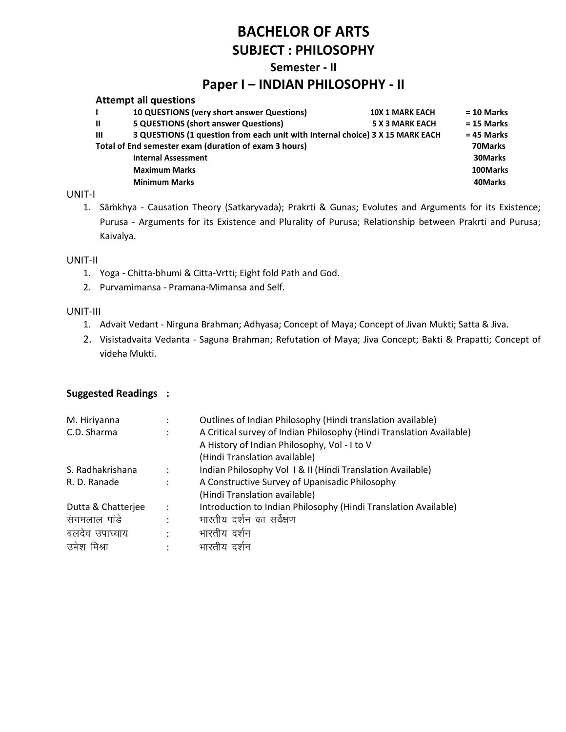#### **Semester - II**

### **Paper I – INDIAN PHILOSOPHY - II**

|              | <b>Attempt all questions</b>                                                  |                        |              |
|--------------|-------------------------------------------------------------------------------|------------------------|--------------|
|              | 10 QUESTIONS (very short answer Questions)                                    | <b>10X 1 MARK EACH</b> | $= 10$ Marks |
| Ш            | <b>5 QUESTIONS (short answer Questions)</b>                                   | <b>5 X 3 MARK EACH</b> | $= 15$ Marks |
| $\mathbf{m}$ | 3 QUESTIONS (1 question from each unit with Internal choice) 3 X 15 MARK EACH |                        | $= 45$ Marks |
|              | Total of End semester exam (duration of exam 3 hours)                         |                        | 70Marks      |
|              | <b>Internal Assessment</b>                                                    |                        | 30Marks      |
|              | <b>Maximum Marks</b>                                                          |                        | 100Marks     |
|              | <b>Minimum Marks</b>                                                          |                        | 40Marks      |
|              |                                                                               |                        |              |

#### UNIT-I

1. Sāṁkhya - Causation Theory (Satkaryvada); Prakrti & Gunas; Evolutes and Arguments for its Existence; Purusa - Arguments for its Existence and Plurality of Purusa; Relationship between Prakrti and Purusa; Kaivalya.

#### UNIT-II

- 1. Yoga Chitta-bhumi & Citta-Vrtti; Eight fold Path and God.
- 2. Purvamimansa Pramana-Mimansa and Self.

#### UNIT-III

- 1. Advait Vedant Nirguna Brahman; Adhyasa; Concept of Maya; Concept of Jivan Mukti; Satta & Jiva.
- 2. Visistadvaita Vedanta Saguna Brahman; Refutation of Maya; Jiva Concept; Bakti & Prapatti; Concept of videha Mukti.

| M. Hiriyanna       |                      | Outlines of Indian Philosophy (Hindi translation available)          |
|--------------------|----------------------|----------------------------------------------------------------------|
| C.D. Sharma        |                      | A Critical survey of Indian Philosophy (Hindi Translation Available) |
|                    |                      | A History of Indian Philosophy, Vol - I to V                         |
|                    |                      | (Hindi Translation available)                                        |
| S. Radhakrishana   | $\ddot{\phantom{a}}$ | Indian Philosophy Vol 1& II (Hindi Translation Available)            |
| R. D. Ranade       | $\ddot{\phantom{a}}$ | A Constructive Survey of Upanisadic Philosophy                       |
|                    |                      | (Hindi Translation available)                                        |
| Dutta & Chatterjee | $\ddot{\phantom{a}}$ | Introduction to Indian Philosophy (Hindi Translation Available)      |
| संगमलाल पांडे      | $\ddot{\phantom{a}}$ | भारतीय दर्शन का सर्वेक्षण                                            |
| बलदेव उपाघ्याय     | $\ddot{\cdot}$       | भारतीय दर्शन                                                         |
| उमेश मिश्रा        |                      | भारतीय दर्शन                                                         |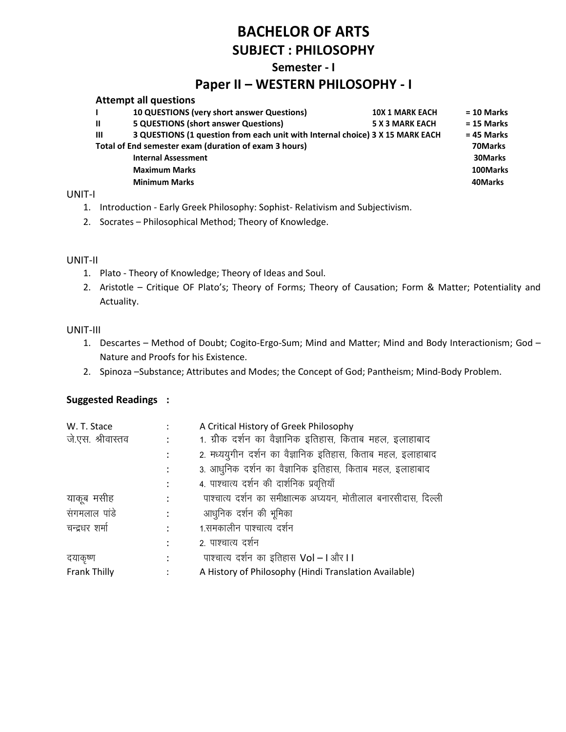#### **Semester - I**

## **Paper II – WESTERN PHILOSOPHY - I**

|              | <b>Attempt all questions</b>                                                  |                        |              |
|--------------|-------------------------------------------------------------------------------|------------------------|--------------|
|              | 10 QUESTIONS (very short answer Questions)                                    | <b>10X 1 MARK EACH</b> | $= 10$ Marks |
| $\mathbf{u}$ | <b>5 QUESTIONS (short answer Questions)</b>                                   | <b>5 X 3 MARK EACH</b> | $= 15$ Marks |
| $\mathbf{m}$ | 3 QUESTIONS (1 question from each unit with Internal choice) 3 X 15 MARK EACH |                        | $= 45$ Marks |
|              | Total of End semester exam (duration of exam 3 hours)                         |                        | 70Marks      |
|              | <b>Internal Assessment</b>                                                    |                        | 30Marks      |
|              | <b>Maximum Marks</b>                                                          |                        | 100Marks     |
|              | <b>Minimum Marks</b>                                                          |                        | 40Marks      |
|              |                                                                               |                        |              |

#### UNIT-I

- 1. Introduction Early Greek Philosophy: Sophist- Relativism and Subjectivism.
- 2. Socrates Philosophical Method; Theory of Knowledge.

#### UNIT-II

- 1. Plato Theory of Knowledge; Theory of Ideas and Soul.
- 2. Aristotle Critique OF Plato's; Theory of Forms; Theory of Causation; Form & Matter; Potentiality and Actuality.

#### UNIT-III

- 1. Descartes Method of Doubt; Cogito-Ergo-Sum; Mind and Matter; Mind and Body Interactionism; God Nature and Proofs for his Existence.
- 2. Spinoza –Substance; Attributes and Modes; the Concept of God; Pantheism; Mind-Body Problem.

| W. T. Stace       |                | A Critical History of Greek Philosophy                           |
|-------------------|----------------|------------------------------------------------------------------|
| जे.एस. श्रीवास्तव |                | 1. ग्रीक दर्शन का वैज्ञानिक इतिहास, किताब महल, इलाहाबाद          |
|                   |                | 2. मध्ययुगीन दर्शन का वैज्ञानिक इतिहास, किताब महल, इलाहाबाद      |
|                   |                | 3. आधुनिक दर्शन का वैज्ञानिक इतिहास, किताब महल, इलाहाबाद         |
|                   |                | 4. पाश्चात्य दर्शन की दार्शनिक प्रवृत्तियाँ                      |
| याकूब मसीह        |                | पाश्चात्य दर्शन का समीक्षात्मक अध्ययन, मोतीलाल बनारसीदास, दिल्ली |
| संगमलाल पांडे     | $\ddot{\cdot}$ | आधुनिक दर्शन की भूमिका                                           |
| चन्द्रधर शर्मा    |                | 1.समकालीन पाश्चात्य दर्शन                                        |
|                   |                | 2. पाश्चात्य दर्शन                                               |
| दयाकृष्ण          |                | पाश्चात्य दर्शन का इतिहास Vol – I और I I                         |
| Frank Thilly      |                | A History of Philosophy (Hindi Translation Available)            |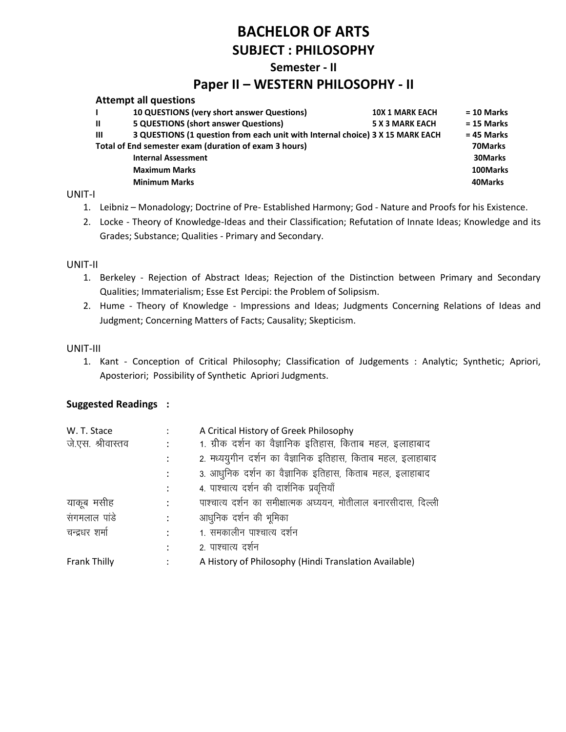#### **Semester - II**

## **Paper II – WESTERN PHILOSOPHY - II**

|              | <b>Attempt all questions</b>                                                  |                        |              |
|--------------|-------------------------------------------------------------------------------|------------------------|--------------|
|              | 10 QUESTIONS (very short answer Questions)                                    | <b>10X 1 MARK EACH</b> | $= 10$ Marks |
| $\mathbf{I}$ | <b>5 QUESTIONS (short answer Questions)</b>                                   | <b>5 X 3 MARK EACH</b> | $= 15$ Marks |
| $\mathbf{m}$ | 3 QUESTIONS (1 question from each unit with Internal choice) 3 X 15 MARK EACH |                        | $= 45$ Marks |
|              | Total of End semester exam (duration of exam 3 hours)                         |                        | 70Marks      |
|              | <b>Internal Assessment</b>                                                    |                        | 30Marks      |
|              | <b>Maximum Marks</b>                                                          |                        | 100Marks     |
|              | <b>Minimum Marks</b>                                                          |                        | 40Marks      |
|              |                                                                               |                        |              |

#### UNIT-I

- 1. Leibniz Monadology; Doctrine of Pre- Established Harmony; God Nature and Proofs for his Existence.
- 2. Locke Theory of Knowledge-Ideas and their Classification; Refutation of Innate Ideas; Knowledge and its Grades; Substance; Qualities - Primary and Secondary.

#### UNIT-II

- 1. Berkeley Rejection of Abstract Ideas; Rejection of the Distinction between Primary and Secondary Qualities; Immaterialism; Esse Est Percipi: the Problem of Solipsism.
- 2. Hume Theory of Knowledge Impressions and Ideas; Judgments Concerning Relations of Ideas and Judgment; Concerning Matters of Facts; Causality; Skepticism.

#### UNIT-III

1. Kant - Conception of Critical Philosophy; Classification of Judgements : Analytic; Synthetic; Apriori, Aposteriori; Possibility of Synthetic Apriori Judgments.

| W. T. Stace         |                      | A Critical History of Greek Philosophy                           |
|---------------------|----------------------|------------------------------------------------------------------|
| जे.एस. श्रीवास्तव   |                      | 1. ग्रीक दर्शन का वैज्ञानिक इतिहास, किताब महल, इलाहाबाद          |
|                     |                      | 2. मध्ययुगीन दर्शन का वैज्ञानिक इतिहास, किताब महल, इलाहाबाद      |
|                     |                      | 3. आधुनिक दर्शन का वैज्ञानिक इतिहास, किताब महल, इलाहाबाद         |
|                     |                      | 4. पाश्चात्य दर्शन की दार्शनिक प्रवृत्तियाँ                      |
| याकूब मसीह          |                      | पाश्चात्य दर्शन का समीक्षात्मक अध्ययन, मोतीलाल बनारसीदास, दिल्ली |
| संगमलाल पांडे       | $\ddot{\phantom{a}}$ | आधुनिक दर्शन की भूमिका                                           |
| चन्द्रधर शर्मा      | ٠                    | 1. समकालीन पाश्चात्य दर्शन                                       |
|                     |                      | 2. पाश्चात्य दर्शन                                               |
| <b>Frank Thilly</b> |                      | A History of Philosophy (Hindi Translation Available)            |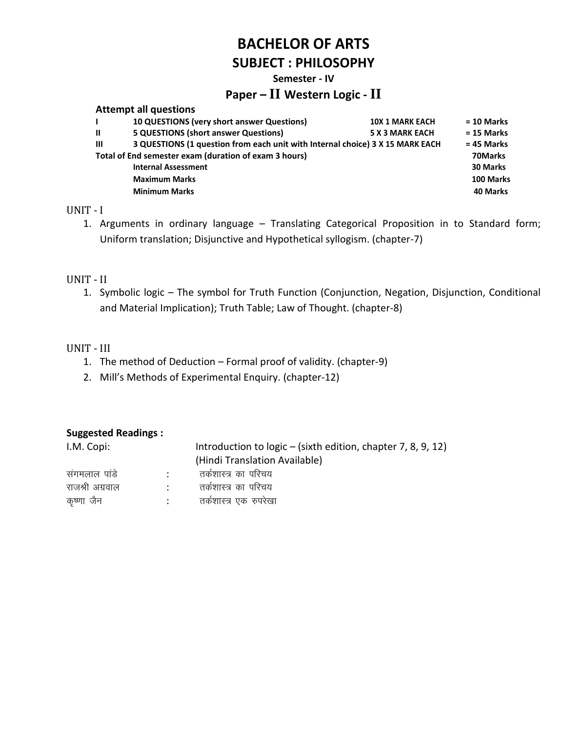#### **Semester - IV**

## **Paper – II Western Logic - II**

| <b>10 QUESTIONS (very short answer Questions)</b> | <b>10X 1 MARK EACH</b>                                                                | $= 10$ Marks                                                                  |
|---------------------------------------------------|---------------------------------------------------------------------------------------|-------------------------------------------------------------------------------|
| <b>5 QUESTIONS (short answer Questions)</b>       | <b>5 X 3 MARK EACH</b>                                                                | $= 15$ Marks                                                                  |
|                                                   |                                                                                       | $= 45$ Marks                                                                  |
|                                                   |                                                                                       | 70Marks                                                                       |
| <b>Internal Assessment</b>                        |                                                                                       | <b>30 Marks</b>                                                               |
| <b>Maximum Marks</b>                              |                                                                                       | 100 Marks                                                                     |
| <b>Minimum Marks</b>                              |                                                                                       | 40 Marks                                                                      |
|                                                   | <b>Attempt all questions</b><br>Total of End semester exam (duration of exam 3 hours) | 3 QUESTIONS (1 question from each unit with Internal choice) 3 X 15 MARK EACH |

#### UNIT - I

1. Arguments in ordinary language – Translating Categorical Proposition in to Standard form; Uniform translation; Disjunctive and Hypothetical syllogism. (chapter-7)

#### UNIT - II

1. Symbolic logic – The symbol for Truth Function (Conjunction, Negation, Disjunction, Conditional and Material Implication); Truth Table; Law of Thought. (chapter-8)

#### UNIT - III

- 1. The method of Deduction Formal proof of validity. (chapter-9)
- 2. Mill's Methods of Experimental Enquiry. (chapter-12)

| I.M. Copi:      |        | Introduction to $logic - (sixth edition, chapter 7, 8, 9, 12)$ |
|-----------------|--------|----------------------------------------------------------------|
|                 |        | (Hindi Translation Available)                                  |
| संगमलाल पांडे   | $\sim$ | तर्कशास्त्र का परिचय                                           |
| राजश्री अग्रवाल | $\sim$ | तर्कशास्त्र का परिचय                                           |
| कृष्णा जैन      |        | तर्कशास्त्र एक रुपरेखा                                         |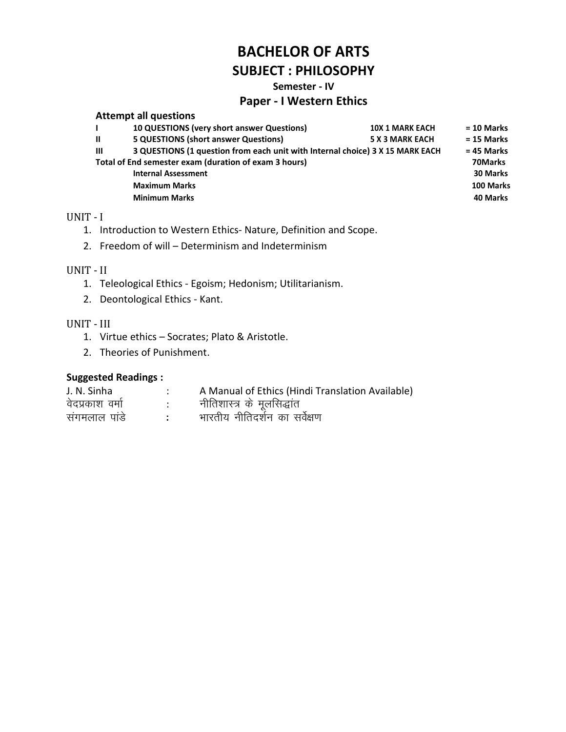#### Semester - IV

#### **Paper - I Western Ethics**

|              | <b>Attempt all questions</b>                                                  |                        |              |
|--------------|-------------------------------------------------------------------------------|------------------------|--------------|
|              | <b>10 QUESTIONS (very short answer Questions)</b>                             | <b>10X 1 MARK EACH</b> | $= 10$ Marks |
| $\mathbf{u}$ | <b>5 QUESTIONS (short answer Questions)</b>                                   | <b>5 X 3 MARK EACH</b> | $= 15$ Marks |
| $\mathbf{m}$ | 3 QUESTIONS (1 question from each unit with Internal choice) 3 X 15 MARK EACH |                        | $= 45$ Marks |
|              | Total of End semester exam (duration of exam 3 hours)                         |                        | 70Marks      |
|              | <b>Internal Assessment</b>                                                    |                        | 30 Marks     |
|              | <b>Maximum Marks</b>                                                          |                        | 100 Marks    |
|              | <b>Minimum Marks</b>                                                          |                        | 40 Marks     |

### UNIT - I

- 1. Introduction to Western Ethics-Nature, Definition and Scope.
- 2. Freedom of will Determinism and Indeterminism

#### UNIT - II

- 1. Teleological Ethics Egoism; Hedonism; Utilitarianism.
- 2. Deontological Ethics Kant.

#### UNIT - III

- 1. Virtue ethics Socrates; Plato & Aristotle.
- 2. Theories of Punishment.

| J. N. Sinha     | A Manual of Ethics (Hindi Translation Available) |
|-----------------|--------------------------------------------------|
| वेदप्रकाश वर्मा | नीतिशास्त्र के मूलसिद्धांत                       |
| संगमलाल पांडे   | भारतीय नीतिदर्शन का सर्वेक्षण                    |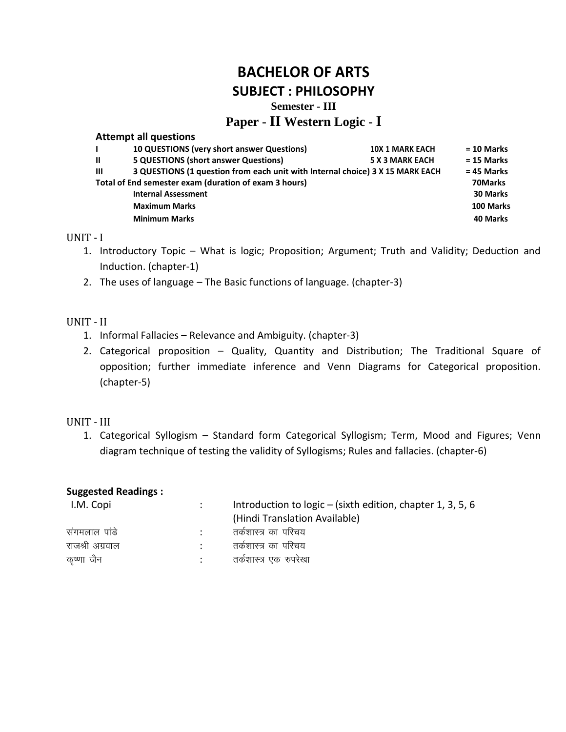# **BACHELOR OF ARTS**

**SUBJECT : PHILOSOPHY**

### **Semester - III**

### **Paper - II Western Logic - I**

#### **Attempt all questions**

|              | 10 QUESTIONS (very short answer Questions)                                    | <b>10X 1 MARK EACH</b> | $= 10$ Marks    |
|--------------|-------------------------------------------------------------------------------|------------------------|-----------------|
| $\mathbf{u}$ | <b>5 QUESTIONS (short answer Questions)</b>                                   | <b>5 X 3 MARK EACH</b> | $= 15$ Marks    |
| Ш            | 3 QUESTIONS (1 question from each unit with Internal choice) 3 X 15 MARK EACH |                        | $= 45$ Marks    |
|              | Total of End semester exam (duration of exam 3 hours)                         |                        | 70Marks         |
|              | <b>Internal Assessment</b>                                                    |                        | <b>30 Marks</b> |
|              | <b>Maximum Marks</b>                                                          |                        | 100 Marks       |
|              | <b>Minimum Marks</b>                                                          |                        | 40 Marks        |
|              |                                                                               |                        |                 |

#### UNIT - I

- 1. Introductory Topic What is logic; Proposition; Argument; Truth and Validity; Deduction and Induction. (chapter-1)
- 2. The uses of language The Basic functions of language. (chapter-3)

#### UNIT - II

- 1. Informal Fallacies Relevance and Ambiguity. (chapter-3)
- 2. Categorical proposition Quality, Quantity and Distribution; The Traditional Square of opposition; further immediate inference and Venn Diagrams for Categorical proposition. (chapter-5)

#### UNIT - III

1. Categorical Syllogism – Standard form Categorical Syllogism; Term, Mood and Figures; Venn diagram technique of testing the validity of Syllogisms; Rules and fallacies. (chapter-6)

| I.M. Copi       | Introduction to $logic - (sixth edition, chapter 1, 3, 5, 6)$ |
|-----------------|---------------------------------------------------------------|
|                 | (Hindi Translation Available)                                 |
| सगमलाल पांडे    | तर्कशास्त्र का परिचय                                          |
| राजश्री अग्रवाल | तर्कशास्त्र का परिचय                                          |
| कृष्णा जैन      | तर्कशास्त्र एक रुपरेखा                                        |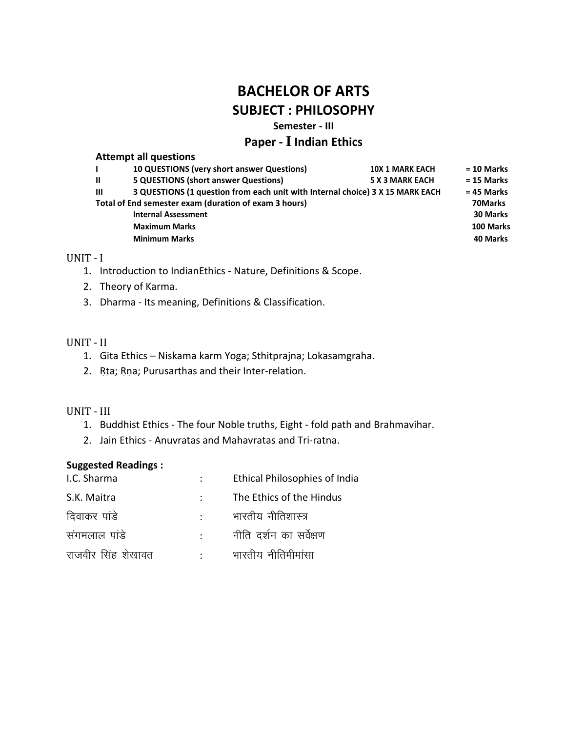**Semester - III**

### **Paper - I Indian Ethics**

#### **Attempt all questions**

| 10 QUESTIONS (very short answer Questions)                                                    | <b>10X 1 MARK EACH</b> | $= 10$ Marks    |
|-----------------------------------------------------------------------------------------------|------------------------|-----------------|
| <b>5 QUESTIONS (short answer Questions)</b>                                                   | <b>5 X 3 MARK EACH</b> | $= 15$ Marks    |
| 3 QUESTIONS (1 question from each unit with Internal choice) 3 X 15 MARK EACH<br>$\mathbf{m}$ |                        | $= 45$ Marks    |
| Total of End semester exam (duration of exam 3 hours)                                         |                        | 70Marks         |
| <b>Internal Assessment</b>                                                                    |                        | <b>30 Marks</b> |
| <b>Maximum Marks</b>                                                                          |                        | 100 Marks       |
| <b>Minimum Marks</b>                                                                          |                        | 40 Marks        |
|                                                                                               |                        |                 |

#### UNIT - I

- 1. Introduction to IndianEthics Nature, Definitions & Scope.
- 2. Theory of Karma.
- 3. Dharma Its meaning, Definitions & Classification.

### UNIT - II

- 1. Gita Ethics Niskama karm Yoga; Sthitprajna; Lokasamgraha.
- 2. Rta; Rna; Purusarthas and their Inter-relation.

#### UNIT - III

- 1. Buddhist Ethics The four Noble truths, Eight fold path and Brahmavihar.
- 2. Jain Ethics Anuvratas and Mahavratas and Tri-ratna.

| I.C. Sharma        |                         | <b>Ethical Philosophies of India</b> |
|--------------------|-------------------------|--------------------------------------|
| S.K. Maitra        |                         | The Ethics of the Hindus             |
| दिवाकर पांडे       |                         | भारतीय नीतिशास्त्र                   |
| संगमलाल पांडे      | $\sim 100$ km s $^{-1}$ | नीति दर्शन का सर्वेक्षण              |
| राजवीर सिंह शेखावत |                         | भारतीय नीतिमीमांसा                   |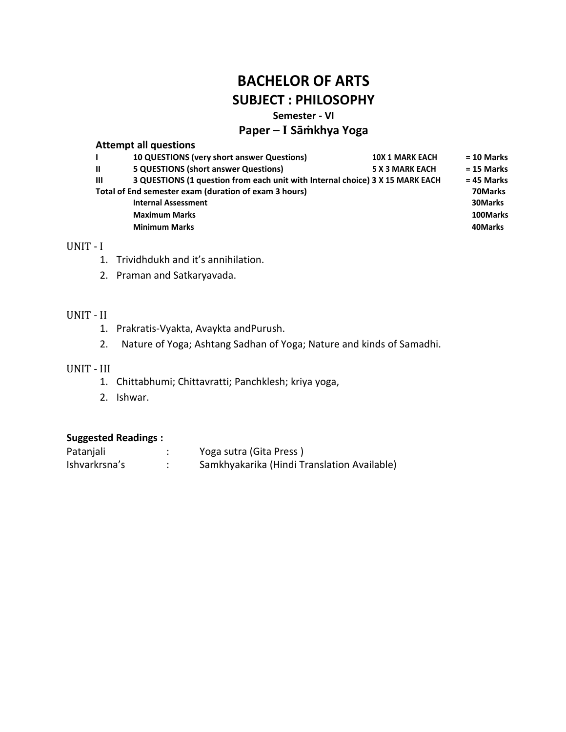#### **Semester - VI**

### **Paper – I Sāṁkhya Yoga**

#### **Attempt all questions**

|              | 10 QUESTIONS (very short answer Questions)                                    | <b>10X 1 MARK EACH</b> | $= 10$ Marks |
|--------------|-------------------------------------------------------------------------------|------------------------|--------------|
| $\mathbf{u}$ | <b>5 QUESTIONS (short answer Questions)</b>                                   | <b>5 X 3 MARK EACH</b> | $= 15$ Marks |
| Ш            | 3 QUESTIONS (1 question from each unit with Internal choice) 3 X 15 MARK EACH |                        | $= 45$ Marks |
|              | Total of End semester exam (duration of exam 3 hours)                         |                        | 70Marks      |
|              | <b>Internal Assessment</b>                                                    |                        | 30Marks      |
|              | <b>Maximum Marks</b>                                                          |                        | 100Marks     |
|              | <b>Minimum Marks</b>                                                          |                        | 40Marks      |
|              |                                                                               |                        |              |

#### UNIT - I

- 1. Trividhdukh and it's annihilation.
- 2. Praman and Satkaryavada.

#### UNIT - II

- 1. Prakratis-Vyakta, Avaykta andPurush.
- 2. Nature of Yoga; Ashtang Sadhan of Yoga; Nature and kinds of Samadhi.

#### UNIT - III

- 1. Chittabhumi; Chittavratti; Panchklesh; kriya yoga,
- 2. Ishwar.

| Patanjali     | Yoga sutra (Gita Press)                     |
|---------------|---------------------------------------------|
| Ishvarkrsna's | Samkhyakarika (Hindi Translation Available) |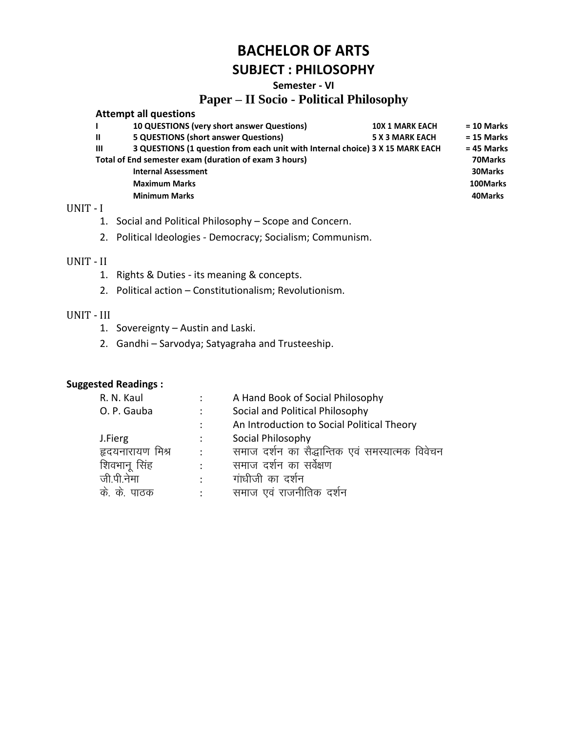#### Semester - VI

### **Paper - II Socio - Political Philosophy**

|              | <b>Attempt all questions</b>                                                  |                        |              |
|--------------|-------------------------------------------------------------------------------|------------------------|--------------|
|              | 10 QUESTIONS (very short answer Questions)                                    | <b>10X 1 MARK EACH</b> | $= 10$ Marks |
| $\mathbf{u}$ | <b>5 QUESTIONS (short answer Questions)</b>                                   | <b>5 X 3 MARK EACH</b> | $= 15$ Marks |
| $\mathbf{m}$ | 3 QUESTIONS (1 question from each unit with Internal choice) 3 X 15 MARK EACH |                        | $= 45$ Marks |
|              | Total of End semester exam (duration of exam 3 hours)                         |                        | 70Marks      |
|              | <b>Internal Assessment</b>                                                    |                        | 30Marks      |
|              | <b>Maximum Marks</b>                                                          |                        | 100Marks     |
|              | <b>Minimum Marks</b>                                                          |                        | 40Marks      |
|              |                                                                               |                        |              |

#### UNIT - I

- 1. Social and Political Philosophy Scope and Concern.
- 2. Political Ideologies Democracy; Socialism; Communism.

#### UNIT - II

- 1. Rights & Duties its meaning & concepts.
- 2. Political action Constitutionalism; Revolutionism.

#### UNIT - III

1. Sovereignty - Austin and Laski.

 $\mathbb{R}^2$ 

2. Gandhi - Sarvodya; Satyagraha and Trusteeship.

| R. N. Kaul       |                | A Hand Book of Social Philosophy                |
|------------------|----------------|-------------------------------------------------|
| O. P. Gauba      | $\ddot{\cdot}$ | Social and Political Philosophy                 |
|                  | :              | An Introduction to Social Political Theory      |
| J.Fierg          | :              | Social Philosophy                               |
| हृदयनारायण मिश्र | $\ddot{\cdot}$ | समाज दर्शन का सैद्धान्तिक एवं समस्यात्मक विवेचन |
| शिवभानू सिंह     | ٠              | समाज दर्शन का सर्वेक्षण                         |
| जी पी नेमा       | $\bullet$      | गांधीजी का दर्शन                                |
| के के<br>पाठक    | ٠              | समाज एवं राजनीतिक<br>दशन                        |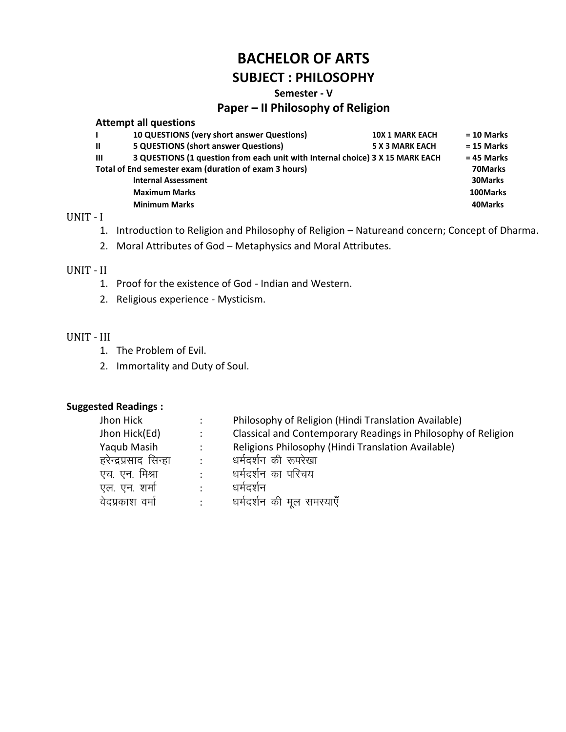# **BACHELOR OF ARTS**

# **SUBJECT: PHILOSOPHY**

#### Semester - V

## Paper - Il Philosophy of Religion

|                                                       | <b>Attempt all questions</b>                                                  |                        |              |
|-------------------------------------------------------|-------------------------------------------------------------------------------|------------------------|--------------|
|                                                       | <b>10 QUESTIONS (very short answer Questions)</b>                             | <b>10X 1 MARK EACH</b> | $= 10$ Marks |
| $\mathbf{u}$                                          | <b>5 QUESTIONS (short answer Questions)</b>                                   | <b>5 X 3 MARK EACH</b> | $= 15$ Marks |
| $\mathbf{m}$                                          | 3 QUESTIONS (1 question from each unit with Internal choice) 3 X 15 MARK EACH |                        |              |
| Total of End semester exam (duration of exam 3 hours) |                                                                               |                        | 70Marks      |
|                                                       | <b>Internal Assessment</b>                                                    |                        | 30Marks      |
|                                                       | <b>Maximum Marks</b>                                                          |                        | 100Marks     |
|                                                       | <b>Minimum Marks</b>                                                          |                        | 40Marks      |
|                                                       |                                                                               |                        |              |

#### UNIT - I

- 1. Introduction to Religion and Philosophy of Religion Natureand concern; Concept of Dharma.
- 2. Moral Attributes of God Metaphysics and Moral Attributes.

#### UNIT - II

- 1. Proof for the existence of God Indian and Western.
- 2. Religious experience Mysticism.

#### UNIT - III

- 1. The Problem of Evil.
- 2. Immortality and Duty of Soul.

| ۰.        | Philosophy of Religion (Hindi Translation Available)          |
|-----------|---------------------------------------------------------------|
| ÷         | Classical and Contemporary Readings in Philosophy of Religion |
| ٠         | Religions Philosophy (Hindi Translation Available)            |
| $\bullet$ | धर्मदर्शन की रूपरेखा                                          |
| $\bullet$ | धर्मदर्शन का परिचय                                            |
|           | धर्मदर्शन                                                     |
| $\bullet$ | धर्मदर्शन की मुल समस्याएँ                                     |
|           |                                                               |